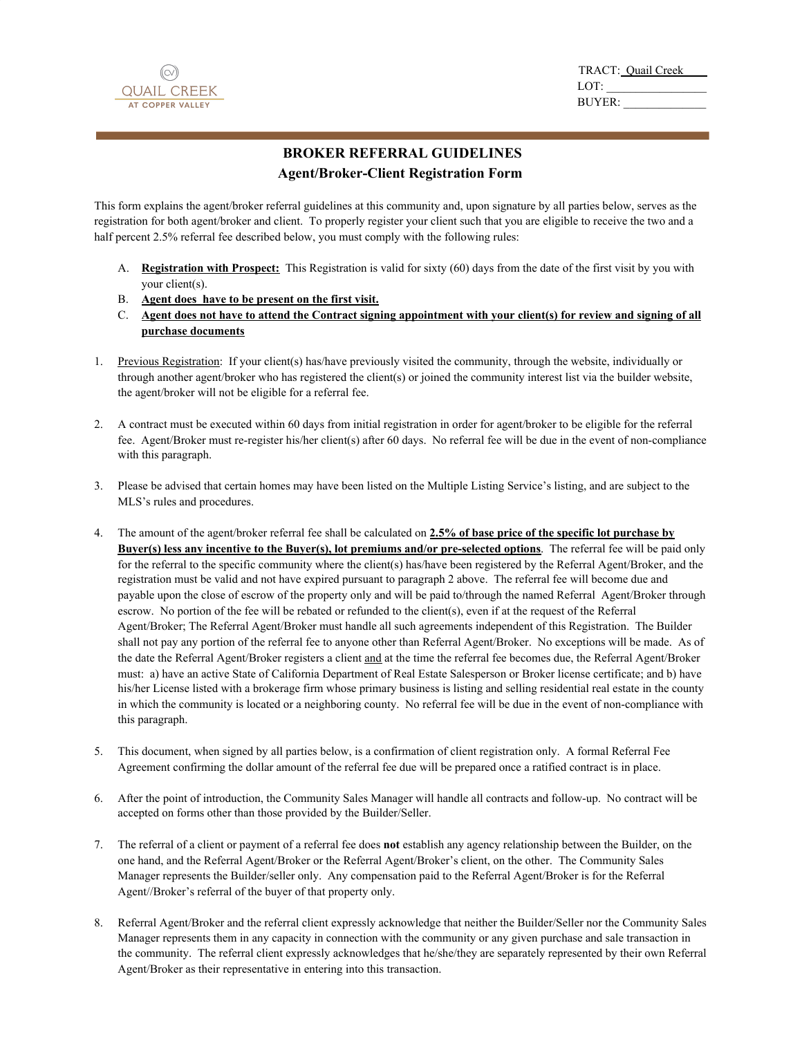

TRACT: Quail Creek\_\_\_\_ LOT: BUYER: \_\_\_\_\_\_\_\_\_\_\_\_\_\_

## **BROKER REFERRAL GUIDELINES Agent/Broker-Client Registration Form**

This form explains the agent/broker referral guidelines at this community and, upon signature by all parties below, serves as the registration for both agent/broker and client. To properly register your client such that you are eligible to receive the two and a half percent 2.5% referral fee described below, you must comply with the following rules:

- A. **Registration with Prospect:** This Registration is valid for sixty (60) days from the date of the first visit by you with your client(s).
- B. **Agent does have to be present on the first visit.**
- C. **Agent does not have to attend the Contract signing appointment with your client(s) for review and signing of all purchase documents**
- 1. Previous Registration: If your client(s) has/have previously visited the community, through the website, individually or through another agent/broker who has registered the client(s) or joined the community interest list via the builder website, the agent/broker will not be eligible for a referral fee.
- 2. A contract must be executed within 60 days from initial registration in order for agent/broker to be eligible for the referral fee. Agent/Broker must re-register his/her client(s) after 60 days. No referral fee will be due in the event of non-compliance with this paragraph.
- 3. Please be advised that certain homes may have been listed on the Multiple Listing Service's listing, and are subject to the MLS's rules and procedures.
- 4. The amount of the agent/broker referral fee shall be calculated on **2.5% of base price of the specific lot purchase by Buyer(s) less any incentive to the Buyer(s), lot premiums and/or pre-selected options**. The referral fee will be paid only for the referral to the specific community where the client(s) has/have been registered by the Referral Agent/Broker, and the registration must be valid and not have expired pursuant to paragraph 2 above. The referral fee will become due and payable upon the close of escrow of the property only and will be paid to/through the named Referral Agent/Broker through escrow. No portion of the fee will be rebated or refunded to the client(s), even if at the request of the Referral Agent/Broker; The Referral Agent/Broker must handle all such agreements independent of this Registration. The Builder shall not pay any portion of the referral fee to anyone other than Referral Agent/Broker. No exceptions will be made. As of the date the Referral Agent/Broker registers a client and at the time the referral fee becomes due, the Referral Agent/Broker must: a) have an active State of California Department of Real Estate Salesperson or Broker license certificate; and b) have his/her License listed with a brokerage firm whose primary business is listing and selling residential real estate in the county in which the community is located or a neighboring county. No referral fee will be due in the event of non-compliance with this paragraph.
- 5. This document, when signed by all parties below, is a confirmation of client registration only. A formal Referral Fee Agreement confirming the dollar amount of the referral fee due will be prepared once a ratified contract is in place.
- 6. After the point of introduction, the Community Sales Manager will handle all contracts and follow-up. No contract will be accepted on forms other than those provided by the Builder/Seller.
- 7. The referral of a client or payment of a referral fee does **not** establish any agency relationship between the Builder, on the one hand, and the Referral Agent/Broker or the Referral Agent/Broker's client, on the other. The Community Sales Manager represents the Builder/seller only. Any compensation paid to the Referral Agent/Broker is for the Referral Agent//Broker's referral of the buyer of that property only.
- 8. Referral Agent/Broker and the referral client expressly acknowledge that neither the Builder/Seller nor the Community Sales Manager represents them in any capacity in connection with the community or any given purchase and sale transaction in the community. The referral client expressly acknowledges that he/she/they are separately represented by their own Referral Agent/Broker as their representative in entering into this transaction.